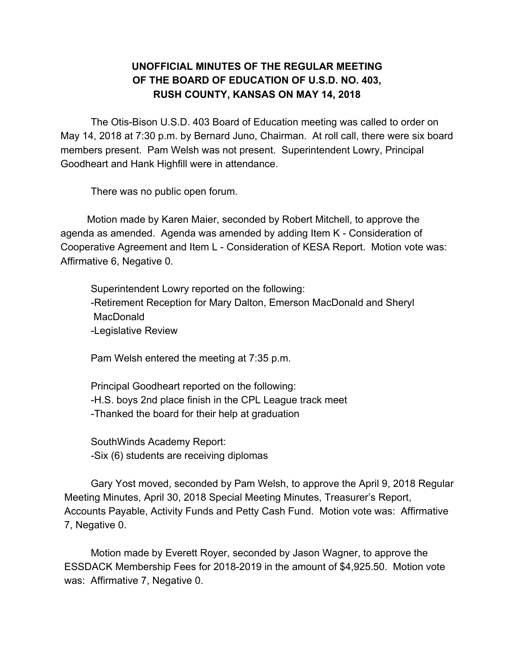#### **UNOFFICIAL MINUTES OF THE REGULAR MEETING OF THE BOARD OF EDUCATION OF U.S.D. NO. 403, RUSH COUNTY, KANSAS ON MAY 14, 2018**

The Otis-Bison U.S.D. 403 Board of Education meeting was called to order on May 14, 2018 at 7:30 p.m. by Bernard Juno, Chairman. At roll call, there were six board members present. Pam Welsh was not present. Superintendent Lowry, Principal Goodheart and Hank Highfill were in attendance.

There was no public open forum.

Motion made by Karen Maier, seconded by Robert Mitchell, to approve the agenda as amended. Agenda was amended by adding Item K - Consideration of Cooperative Agreement and Item L - Consideration of KESA Report. Motion vote was: Affirmative 6, Negative 0.

Superintendent Lowry reported on the following: -Retirement Reception for Mary Dalton, Emerson MacDonald and Sheryl MacDonald -Legislative Review

Pam Welsh entered the meeting at 7:35 p.m.

Principal Goodheart reported on the following: -H.S. boys 2nd place finish in the CPL League track meet -Thanked the board for their help at graduation

SouthWinds Academy Report: -Six (6) students are receiving diplomas

Gary Yost moved, seconded by Pam Welsh, to approve the April 9, 2018 Regular Meeting Minutes, April 30, 2018 Special Meeting Minutes, Treasurer's Report, Accounts Payable, Activity Funds and Petty Cash Fund. Motion vote was: Affirmative 7, Negative 0.

Motion made by Everett Royer, seconded by Jason Wagner, to approve the ESSDACK Membership Fees for 2018-2019 in the amount of \$4,925.50. Motion vote was: Affirmative 7, Negative 0.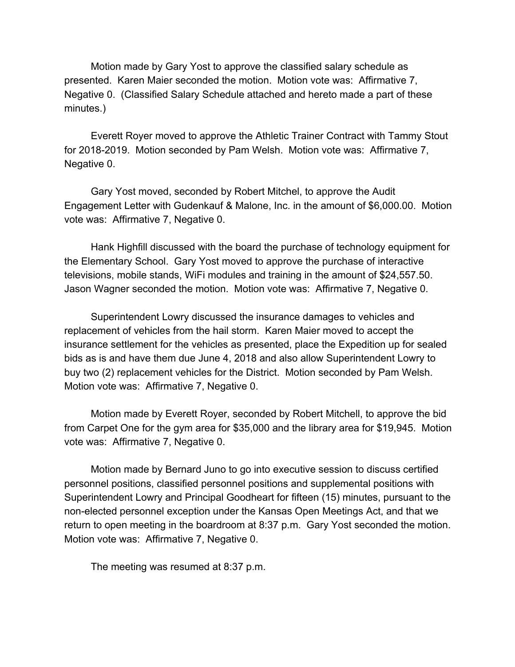Motion made by Gary Yost to approve the classified salary schedule as presented. Karen Maier seconded the motion. Motion vote was: Affirmative 7, Negative 0. (Classified Salary Schedule attached and hereto made a part of these minutes.)

Everett Royer moved to approve the Athletic Trainer Contract with Tammy Stout for 2018-2019. Motion seconded by Pam Welsh. Motion vote was: Affirmative 7, Negative 0.

Gary Yost moved, seconded by Robert Mitchel, to approve the Audit Engagement Letter with Gudenkauf & Malone, Inc. in the amount of \$6,000.00. Motion vote was: Affirmative 7, Negative 0.

Hank Highfill discussed with the board the purchase of technology equipment for the Elementary School. Gary Yost moved to approve the purchase of interactive televisions, mobile stands, WiFi modules and training in the amount of \$24,557.50. Jason Wagner seconded the motion. Motion vote was: Affirmative 7, Negative 0.

Superintendent Lowry discussed the insurance damages to vehicles and replacement of vehicles from the hail storm. Karen Maier moved to accept the insurance settlement for the vehicles as presented, place the Expedition up for sealed bids as is and have them due June 4, 2018 and also allow Superintendent Lowry to buy two (2) replacement vehicles for the District. Motion seconded by Pam Welsh. Motion vote was: Affirmative 7, Negative 0.

Motion made by Everett Royer, seconded by Robert Mitchell, to approve the bid from Carpet One for the gym area for \$35,000 and the library area for \$19,945. Motion vote was: Affirmative 7, Negative 0.

Motion made by Bernard Juno to go into executive session to discuss certified personnel positions, classified personnel positions and supplemental positions with Superintendent Lowry and Principal Goodheart for fifteen (15) minutes, pursuant to the non-elected personnel exception under the Kansas Open Meetings Act, and that we return to open meeting in the boardroom at 8:37 p.m. Gary Yost seconded the motion. Motion vote was: Affirmative 7, Negative 0.

The meeting was resumed at 8:37 p.m.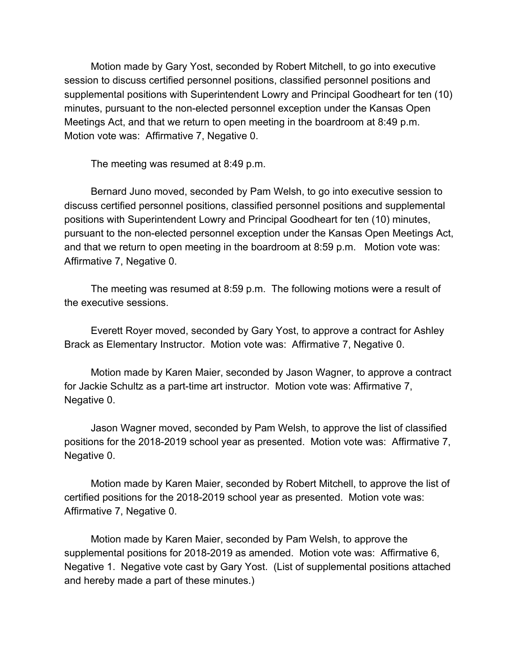Motion made by Gary Yost, seconded by Robert Mitchell, to go into executive session to discuss certified personnel positions, classified personnel positions and supplemental positions with Superintendent Lowry and Principal Goodheart for ten (10) minutes, pursuant to the non-elected personnel exception under the Kansas Open Meetings Act, and that we return to open meeting in the boardroom at 8:49 p.m. Motion vote was: Affirmative 7, Negative 0.

The meeting was resumed at 8:49 p.m.

Bernard Juno moved, seconded by Pam Welsh, to go into executive session to discuss certified personnel positions, classified personnel positions and supplemental positions with Superintendent Lowry and Principal Goodheart for ten (10) minutes, pursuant to the non-elected personnel exception under the Kansas Open Meetings Act, and that we return to open meeting in the boardroom at 8:59 p.m. Motion vote was: Affirmative 7, Negative 0.

The meeting was resumed at 8:59 p.m. The following motions were a result of the executive sessions.

Everett Royer moved, seconded by Gary Yost, to approve a contract for Ashley Brack as Elementary Instructor. Motion vote was: Affirmative 7, Negative 0.

Motion made by Karen Maier, seconded by Jason Wagner, to approve a contract for Jackie Schultz as a part-time art instructor. Motion vote was: Affirmative 7, Negative 0.

Jason Wagner moved, seconded by Pam Welsh, to approve the list of classified positions for the 2018-2019 school year as presented. Motion vote was: Affirmative 7, Negative 0.

Motion made by Karen Maier, seconded by Robert Mitchell, to approve the list of certified positions for the 2018-2019 school year as presented. Motion vote was: Affirmative 7, Negative 0.

Motion made by Karen Maier, seconded by Pam Welsh, to approve the supplemental positions for 2018-2019 as amended. Motion vote was: Affirmative 6, Negative 1. Negative vote cast by Gary Yost. (List of supplemental positions attached and hereby made a part of these minutes.)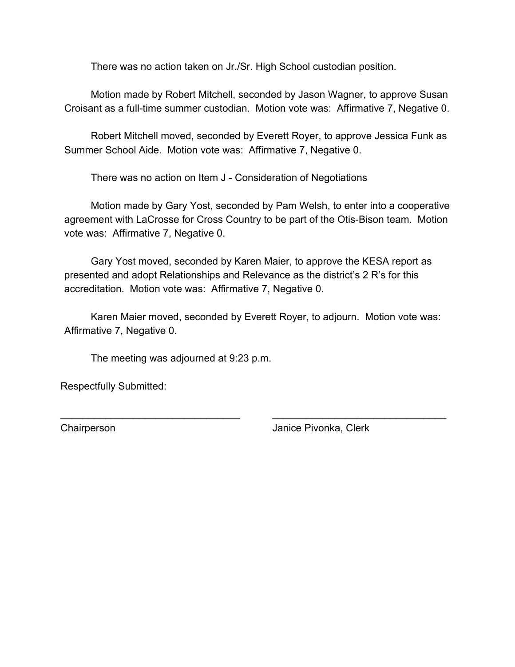There was no action taken on Jr./Sr. High School custodian position.

Motion made by Robert Mitchell, seconded by Jason Wagner, to approve Susan Croisant as a full-time summer custodian. Motion vote was: Affirmative 7, Negative 0.

Robert Mitchell moved, seconded by Everett Royer, to approve Jessica Funk as Summer School Aide. Motion vote was: Affirmative 7, Negative 0.

There was no action on Item J - Consideration of Negotiations

Motion made by Gary Yost, seconded by Pam Welsh, to enter into a cooperative agreement with LaCrosse for Cross Country to be part of the Otis-Bison team. Motion vote was: Affirmative 7, Negative 0.

Gary Yost moved, seconded by Karen Maier, to approve the KESA report as presented and adopt Relationships and Relevance as the district's 2 R's for this accreditation. Motion vote was: Affirmative 7, Negative 0.

Karen Maier moved, seconded by Everett Royer, to adjourn. Motion vote was: Affirmative 7, Negative 0.

\_\_\_\_\_\_\_\_\_\_\_\_\_\_\_\_\_\_\_\_\_\_\_\_\_\_\_\_\_\_\_\_ \_\_\_\_\_\_\_\_\_\_\_\_\_\_\_\_\_\_\_\_\_\_\_\_\_\_\_\_\_\_\_

The meeting was adjourned at 9:23 p.m.

Respectfully Submitted:

Chairperson Janice Pivonka, Clerk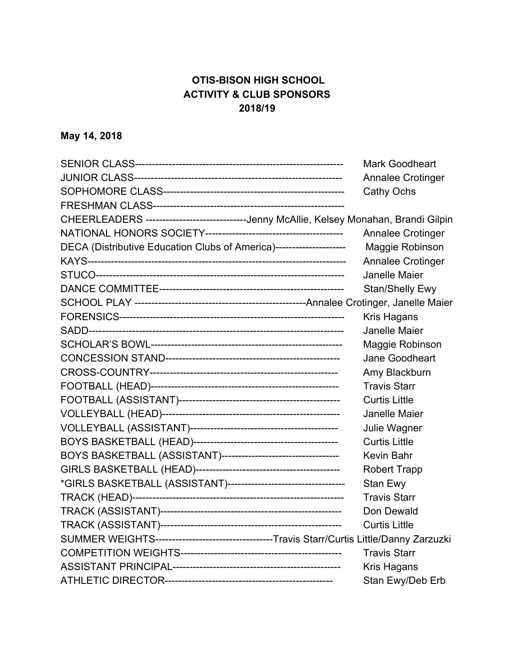## **OTIS-BISON HIGH SCHOOL ACTIVITY & CLUB SPONSORS 2018/19**

# **May 14, 2018**

|                                                                                            | <b>Mark Goodheart</b>  |
|--------------------------------------------------------------------------------------------|------------------------|
|                                                                                            | Annalee Crotinger      |
|                                                                                            | Cathy Ochs             |
|                                                                                            |                        |
| CHEERLEADERS -----------------------------Jenny McAllie, Kelsey Monahan, Brandi Gilpin     |                        |
|                                                                                            | Annalee Crotinger      |
| DECA (Distributive Education Clubs of America)---------------------                        | Maggie Robinson        |
|                                                                                            | Annalee Crotinger      |
|                                                                                            | Janelle Maier          |
|                                                                                            | <b>Stan/Shelly Ewy</b> |
|                                                                                            |                        |
|                                                                                            | Kris Hagans            |
|                                                                                            | <b>Janelle Maier</b>   |
|                                                                                            | Maggie Robinson        |
|                                                                                            | Jane Goodheart         |
|                                                                                            | Amy Blackburn          |
|                                                                                            | <b>Travis Starr</b>    |
|                                                                                            | <b>Curtis Little</b>   |
|                                                                                            | Janelle Maier          |
|                                                                                            | Julie Wagner           |
|                                                                                            | <b>Curtis Little</b>   |
|                                                                                            | <b>Kevin Bahr</b>      |
|                                                                                            | <b>Robert Trapp</b>    |
|                                                                                            | Stan Ewy               |
|                                                                                            | <b>Travis Starr</b>    |
|                                                                                            | Don Dewald             |
|                                                                                            | <b>Curtis Little</b>   |
| SUMMER WEIGHTS-----------------------------------Travis Starr/Curtis Little/Danny Zarzuzki |                        |
|                                                                                            | <b>Travis Starr</b>    |
|                                                                                            | Kris Hagans            |
|                                                                                            | Stan Ewy/Deb Erb       |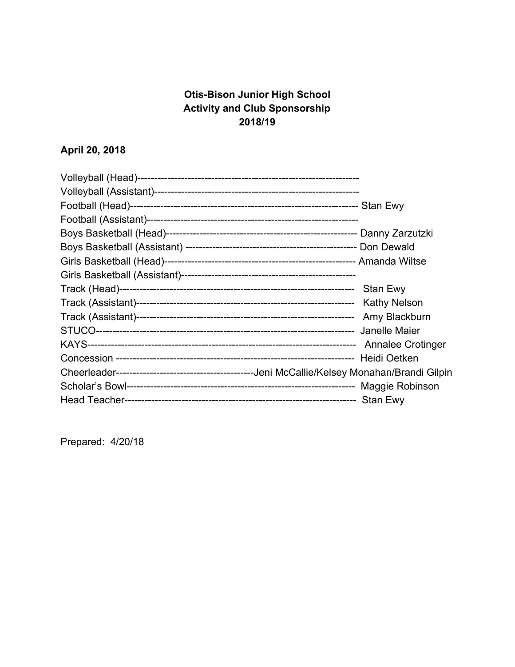## **Otis-Bison Junior High School Activity and Club Sponsorship 2018/19**

# **April 20, 2018**

| Stan Ewy                 |
|--------------------------|
| <b>Kathy Nelson</b>      |
| Amy Blackburn            |
|                          |
| <b>Annalee Crotinger</b> |
| Heidi Oetken             |
|                          |
|                          |
|                          |

Prepared: 4/20/18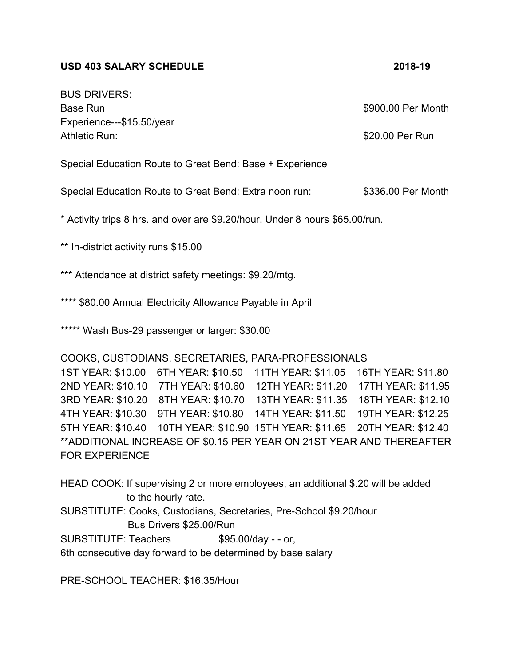#### **USD 403 SALARY SCHEDULE 2018-19**

| <b>BUS DRIVERS:</b>                                      |                    |
|----------------------------------------------------------|--------------------|
| Base Run                                                 | \$900.00 Per Month |
| Experience---\$15.50/year                                |                    |
| Athletic Run:                                            | \$20.00 Per Run    |
|                                                          |                    |
| Special Education Route to Great Bend: Base + Experience |                    |

Special Education Route to Great Bend: Extra noon run: \$336.00 Per Month

\* Activity trips 8 hrs. and over are \$9.20/hour. Under 8 hours \$65.00/run.

\*\* In-district activity runs \$15.00

\*\*\* Attendance at district safety meetings: \$9.20/mtg.

\*\*\*\* \$80.00 Annual Electricity Allowance Payable in April

\*\*\*\*\* Wash Bus-29 passenger or larger: \$30.00

#### COOKS, CUSTODIANS, SECRETARIES, PARA-PROFESSIONALS

1ST YEAR: \$10.00 6TH YEAR: \$10.50 11TH YEAR: \$11.05 16TH YEAR: \$11.80 2ND YEAR: \$10.10 7TH YEAR: \$10.60 12TH YEAR: \$11.20 17TH YEAR: \$11.95 3RD YEAR: \$10.20 8TH YEAR: \$10.70 13TH YEAR: \$11.35 18TH YEAR: \$12.10 4TH YEAR: \$10.30 9TH YEAR: \$10.80 14TH YEAR: \$11.50 19TH YEAR: \$12.25 5TH YEAR: \$10.40 10TH YEAR: \$10.90 15TH YEAR: \$11.65 20TH YEAR: \$12.40 \*\*ADDITIONAL INCREASE OF \$0.15 PER YEAR ON 21ST YEAR AND THEREAFTER FOR EXPERIENCE

HEAD COOK: If supervising 2 or more employees, an additional \$.20 will be added to the hourly rate.

SUBSTITUTE: Cooks, Custodians, Secretaries, Pre-School \$9.20/hour

Bus Drivers \$25.00/Run

SUBSTITUTE: Teachers \$95.00/day - - or,

6th consecutive day forward to be determined by base salary

PRE-SCHOOL TEACHER: \$16.35/Hour